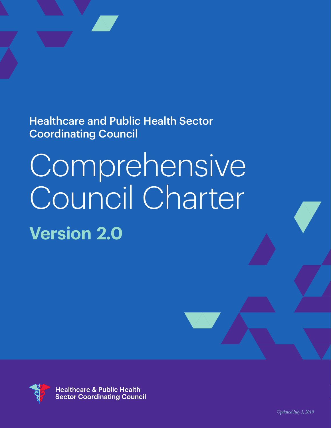Healthcare and Public Health Sector Coordinating Council

# **Comprehensive** Council Charter **Version 2.0**



**Healthcare & Public Health Sector Coordinating Council**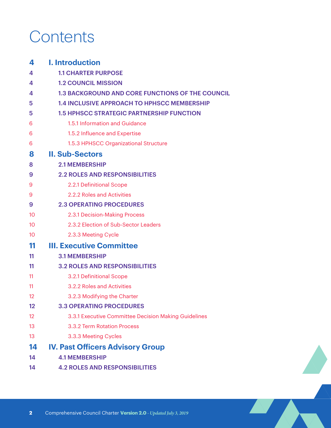# **Contents**

| 4  | <b>I. Introduction</b>                                  |
|----|---------------------------------------------------------|
| 4  | <b>1.1 CHARTER PURPOSE</b>                              |
| 4  | <b>1.2 COUNCIL MISSION</b>                              |
| 4  | <b>1.3 BACKGROUND AND CORE FUNCTIONS OF THE COUNCIL</b> |
| 5  | <b>1.4 INCLUSIVE APPROACH TO HPHSCC MEMBERSHIP</b>      |
| 5  | <b>1.5 HPHSCC STRATEGIC PARTNERSHIP FUNCTION</b>        |
| 6  | 1.5.1 Information and Guidance                          |
| 6  | 1.5.2 Influence and Expertise                           |
| 6  | 1.5.3 HPHSCC Organizational Structure                   |
| 8  | <b>II. Sub-Sectors</b>                                  |
| 8  | <b>2.1 MEMBERSHIP</b>                                   |
| 9  | <b>2.2 ROLES AND RESPONSIBILITIES</b>                   |
| 9  | 2.2.1 Definitional Scope                                |
| 9  | 2.2.2 Roles and Activities                              |
| 9  | <b>2.3 OPERATING PROCEDURES</b>                         |
| 10 | 2.3.1 Decision-Making Process                           |
| 10 | 2.3.2 Election of Sub-Sector Leaders                    |
| 10 | 2.3.3 Meeting Cycle                                     |
| 11 | <b>III. Executive Committee</b>                         |
| 11 | <b>3.1 MEMBERSHIP</b>                                   |
| 11 | <b>3.2 ROLES AND RESPONSIBILITIES</b>                   |
| 11 | 3.2.1 Definitional Scope                                |
| 11 | 3.2.2 Roles and Activities                              |
| 12 | 3.2.3 Modifying the Charter                             |
| 12 | <b>3.3 OPERATING PROCEDURES</b>                         |
| 12 | 3.3.1 Executive Committee Decision Making Guidelines    |
| 13 | 3.3.2 Term Rotation Process                             |
| 13 | 3.3.3 Meeting Cycles                                    |
| 14 | <b>IV. Past Officers Advisory Group</b>                 |
| 14 | <b>4.1 MEMBERSHIP</b>                                   |
| 14 | <b>4.2 ROLES AND RESPONSIBILITIES</b>                   |

A AT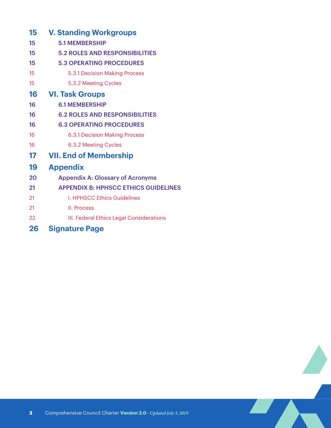| 15 | <b>V. Standing Workgroups</b>               |  |
|----|---------------------------------------------|--|
| 15 | <b>5.1 MEMBERSHIP</b>                       |  |
| 15 | <b>5.2 ROLES AND RESPONSIBILITIES</b>       |  |
| 15 | <b>5.3 OPERATING PROCEDURES</b>             |  |
| 15 | 5.3.1 Decision Making Process               |  |
| 15 | 5.3.2 Meeting Cycles                        |  |
| 16 | <b>VI. Task Groups</b>                      |  |
| 16 | <b>6.1 MEMBERSHIP</b>                       |  |
| 16 | <b>6.2 ROLES AND RESPONSIBILITIES</b>       |  |
| 16 | <b>6.3 OPERATING PROCEDURES</b>             |  |
| 16 | <b>6.3.1 Decision Making Process</b>        |  |
| 16 | 6.3.2 Meeting Cycles                        |  |
| 17 | <b>VII. End of Membership</b>               |  |
| 19 | <b>Appendix</b>                             |  |
| 20 | <b>Appendix A: Glossary of Acronyms</b>     |  |
| 21 | <b>APPENDIX B: HPHSCC ETHICS GUIDELINES</b> |  |
| 21 | <b>I. HPHSCC Ethics Guidelines</b>          |  |
| 21 | II. Process                                 |  |
| 22 | III. Federal Ethics Legal Considerations    |  |
| 26 | <b>Signature Page</b>                       |  |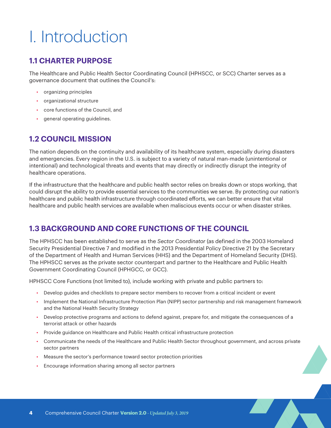# <span id="page-3-0"></span>I. Introduction

# **1.1 CHARTER PURPOSE**

The Healthcare and Public Health Sector Coordinating Council (HPHSCC, or SCC) Charter serves as a governance document that outlines the Council's:

- organizing principles
- organizational structure
- core functions of the Council, and
- general operating guidelines.

# **1.2 COUNCIL MISSION**

The nation depends on the continuity and availability of its healthcare system, especially during disasters and emergencies. Every region in the U.S. is subject to a variety of natural man-made (unintentional or intentional) and technological threats and events that may directly or indirectly disrupt the integrity of healthcare operations.

If the infrastructure that the healthcare and public health sector relies on breaks down or stops working, that could disrupt the ability to provide essential services to the communities we serve. By protecting our nation's healthcare and public health infrastructure through coordinated efforts, we can better ensure that vital healthcare and public health services are available when maliscious events occur or when disaster strikes.

# **1.3 BACKGROUND AND CORE FUNCTIONS OF THE COUNCIL**

The HPHSCC has been established to serve as the *Sector Coordinator* (as defined in the 2003 Homeland Security Presidential Directive 7 and modified in the 2013 Presidential Policy Directive 21 by the Secretary of the Department of Health and Human Services (HHS) and the Department of Homeland Security (DHS). The HPHSCC serves as the private sector counterpart and partner to the Healthcare and Public Health Government Coordinating Council (HPHGCC, or GCC).

HPHSCC Core Functions (not limited to), include working with private and public partners to:

- Develop guides and checklists to prepare sector members to recover from a critical incident or event
- Implement the National Infrastructure Protection Plan (NIPP) sector partnership and risk management framework and the National Health Security Strategy
- Develop protective programs and actions to defend against, prepare for, and mitigate the consequences of a terrorist attack or other hazards
- Provide guidance on Healthcare and Public Health critical infrastructure protection
- Communicate the needs of the Healthcare and Public Health Sector throughout government, and across private sector partners
- Measure the sector's performance toward sector protection priorities
- Encourage information sharing among all sector partners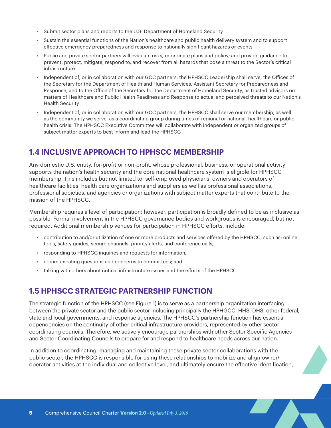- <span id="page-4-0"></span>• Submit sector plans and reports to the U.S. Department of Homeland Security
- Sustain the essential functions of the Nation's healthcare and public health delivery system and to support effective emergency preparedness and response to nationally significant hazards or events
- Public and private sector partners will evaluate risks; coordinate plans and policy; and provide guidance to prevent, protect, mitigate, respond to, and recover from all hazards that pose a threat to the Sector's critical infrastructure
- Independent of, or in collaboration with our GCC partners, the HPHSCC Leadership shall serve, the Offices of the Secretary for the Department of Health and Human Services, Assistant Secretary for Preparedness and Response, and to the Office of the Secretary for the Department of Homeland Security, as trusted advisors on matters of Healthcare and Public Health Readiness and Response to actual and perceived threats to our Nation's Health Security
- Independent of, or in collaboration with our GCC partners, the HPHSCC shall serve our membership, as well as the community we serve, as a coordinating group during times of regional or national, healthcare or public health crisis. The HPHSCC Executive Committee will collaborate with independent or organized groups of subject matter experts to best inform and lead the HPHSCC

# **1.4 INCLUSIVE APPROACH TO HPHSCC MEMBERSHIP**

Any domestic U.S. entity, for-profit or non-profit, whose professional, business, or operational activity supports the nation's health security and the core national healthcare system is eligible for HPHSCC membership. This includes but not limited to: self-employed physicians, owners and operators of healthcare facilities, health care organizations and suppliers as well as professional associations, professional societies, and agencies or organizations with subject matter experts that contribute to the mission of the HPHSCC.

Membership requires a level of participation; however, participation is broadly defined to be as inclusive as possible. Formal involvement in the HPHSCC governance bodies and workgroups is encouraged, but not required. Additional membership venues for participation in HPHSCC efforts, include:

- contribution to and/or utilization of one or more products and services offered by the HPHSCC, such as: online tools, safety guides, secure channels, priority alerts, and conference calls;
- responding to HPHSCC inquiries and requests for information;
- communicating questions and concerns to committees; and
- talking with others about critical infrastructure issues and the efforts of the HPHSCC.

# **1.5 HPHSCC STRATEGIC PARTNERSHIP FUNCTION**

The strategic function of the HPHSCC (see Figure 1) is to serve as a partnership organization interfacing between the private sector and the public sector including principally the HPHGCC, HHS, DHS, other federal, state and local governments, and response agencies. The HPHSCC's partnership function has essential dependencies on the continuity of other critical infrastructure providers, represented by other sector coordinating councils. Therefore, we actively encourage partnerships with other Sector Specific Agencies and Sector Coordinating Councils to prepare for and respond to healthcare needs across our nation.

In addition to coordinating, managing and maintaining these private sector collaborations with the public sector, the HPHSCC is responsible for using these relationships to mobilize and align owner/ operator activities at the individual and collective level, and ultimately ensure the effective identification,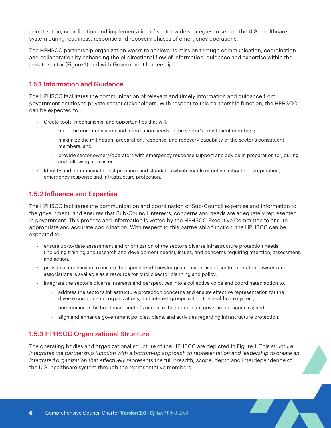<span id="page-5-0"></span>prioritization, coordination and implementation of sector-wide strategies to secure the U.S. healthcare system during readiness, response and recovery phases of emergency operations.

The HPHSCC partnership organization works to achieve its mission through communication, coordination and collaboration by enhancing the bi-directional flow of information, guidance and expertise within the private sector (Figure 1) and with Government leadership.

### 1.5.1 Information and Guidance

The HPHSCC facilitates the communication of relevant and timely information and guidance from government entities to private sector stakeholders. With respect to this partnership function, the HPHSCC can be expected to:

- Create tools, mechanisms, and opportunities that will:
	- meet the communication and information needs of the sector's constituent members;
	- maximize the mitigation, preparation, response, and recovery capability of the sector's constituent members; and
	- provide sector owners/operators with emergency response support and advice in preparation for, during and following a disaster.
- Identify and communicate best practices and standards which enable effective mitigation, preparation, emergency response and infrastructure protection.

## 1.5.2 Influence and Expertise

The HPHSCC facilitates the communication and coordination of Sub-Council expertise and information to the government, and ensures that Sub-Council interests, concerns and needs are adequately represented in government. This process and information is vetted by the HPHSCC Executive Committee to ensure appropriate and accurate coordination. With respect to this partnership function, the HPHSCC can be expected to:

- ensure up-to-date assessment and prioritization of the sector's diverse infrastructure protection needs (including training and research and development needs), issues, and concerns requiring attention, assessment, and action.
- provide a mechanism to ensure that specialized knowledge and expertise of sector operators, owners and associations is available as a resource for public sector planning and policy.
- integrate the sector's diverse interests and perspectives into a collective voice and coordinated action to:
	- address the sector's infrastructure protection concerns and ensure effective representation for the diverse components, organizations, and interest groups within the healthcare system;
	- communicate the healthcare sector's needs to the appropriate government agencies; and
	- align and enhance government policies, plans, and activities regarding infrastructure protection.

### 1.5.3 HPHSCC Organizational Structure

The operating bodies and organizational structure of the HPHSCC are depicted in Figure 1. This *structure integrates the partnership function with a bottom-up approach to representation and leadership to create an integrated organization that effectively represents* the full breadth, scope, depth and interdependence of the U.S. healthcare system through the representative members.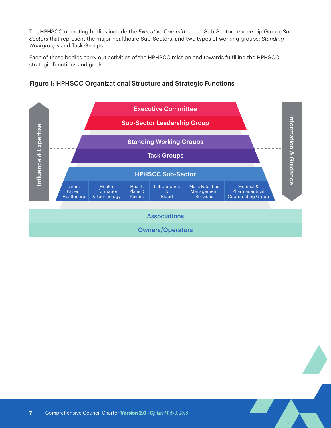The HPHSCC operating bodies include the *Executive Committee*, the Sub-Sector Leadership Group, *Sub-Sectors* that represent the major healthcare Sub-Sectors, and two types of working groups: *Standing Workgroups* and Task Groups.

Each of these bodies carry out activities of the HPHSCC mission and towards fulfilling the HPHSCC strategic functions and goals.



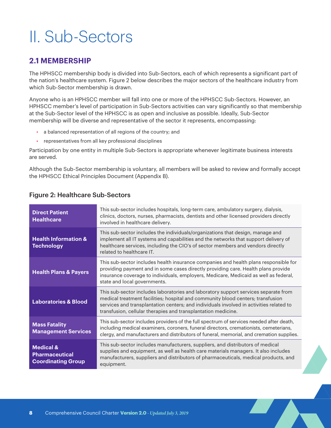# <span id="page-7-0"></span>II. Sub-Sectors

# **2.1 MEMBERSHIP**

The HPHSCC membership body is divided into Sub-Sectors, each of which represents a significant part of the nation's healthcare system. Figure 2 below describes the major sectors of the healthcare industry from which Sub-Sector membership is drawn.

Anyone who is an HPHSCC member will fall into one or more of the HPHSCC Sub-Sectors. However, an HPHSCC member's level of participation in Sub-Sectors activities can vary significantly so that membership at the Sub-Sector level of the HPHSCC is as open and inclusive as possible. Ideally, Sub-Sector membership will be diverse and representative of the sector it represents, encompassing:

- a balanced representation of all regions of the country; and
- representatives from all key professional disciplines

Participation by one entity in multiple Sub-Sectors is appropriate whenever legitimate business interests are served.

Although the Sub-Sector membership is voluntary, all members will be asked to review and formally accept the HPHSCC Ethical Principles Document (Appendix B).

| <b>Direct Patient</b><br><b>Healthcare</b>                                 | This sub-sector includes hospitals, long-term care, ambulatory surgery, dialysis,<br>clinics, doctors, nurses, pharmacists, dentists and other licensed providers directly<br>involved in healthcare delivery.                                                                                                                     |
|----------------------------------------------------------------------------|------------------------------------------------------------------------------------------------------------------------------------------------------------------------------------------------------------------------------------------------------------------------------------------------------------------------------------|
| <b>Health Information &amp;</b><br><b>Technology</b>                       | This sub-sector includes the individuals/organizations that design, manage and<br>implement all IT systems and capabilities and the networks that support delivery of<br>healthcare services, including the CIO's of sector members and vendors directly<br>related to healthcare IT.                                              |
| <b>Health Plans &amp; Payers</b>                                           | This sub-sector includes health insurance companies and health plans responsible for<br>providing payment and in some cases directly providing care. Health plans provide<br>insurance coverage to individuals, employers, Medicare, Medicaid as well as federal,<br>state and local governments.                                  |
| <b>Laboratories &amp; Blood</b>                                            | This sub-sector includes laboratories and laboratory support services separate from<br>medical treatment facilities; hospital and community blood centers; transfusion<br>services and transplantation centers; and individuals involved in activities related to<br>transfusion, cellular therapies and transplantation medicine. |
| <b>Mass Fatality</b><br><b>Management Services</b>                         | This sub-sector includes providers of the full spectrum of services needed after death,<br>including medical examiners, coroners, funeral directors, cremationists, cemeterians,<br>clergy, and manufacturers and distributors of funeral, memorial, and cremation supplies.                                                       |
| <b>Medical &amp;</b><br><b>Pharmaceutical</b><br><b>Coordinating Group</b> | This sub-sector includes manufacturers, suppliers, and distributors of medical<br>supplies and equipment, as well as health care materials managers. It also includes<br>manufacturers, suppliers and distributors of pharmaceuticals, medical products, and<br>equipment.                                                         |

**AV** 

**Avenue** 

### Figure 2: Healthcare Sub-Sectors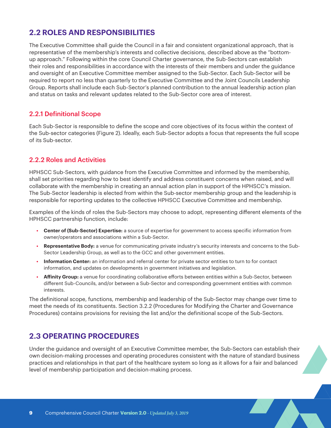# <span id="page-8-0"></span>**2.2 ROLES AND RESPONSIBILITIES**

The Executive Committee shall guide the Council in a fair and consistent organizational approach, that is representative of the membership's interests and collective decisions, described above as the "bottomup approach." Following within the core Council Charter governance, the Sub-Sectors can establish their roles and responsibilities in accordance with the interests of their members and under the guidance and oversight of an Executive Committee member assigned to the Sub-Sector. Each Sub-Sector will be required to report no less than quarterly to the Executive Committee and the Joint Councils Leadership Group. Reports shall include each Sub-Sector's planned contribution to the annual leadership action plan and status on tasks and relevant updates related to the Sub-Sector core area of interest.

## 2.2.1 Definitional Scope

Each Sub-Sector is responsible to define the scope and core objectives of its focus within the context of the Sub-sector categories (Figure 2). Ideally, each Sub-Sector adopts a focus that represents the full scope of its Sub-sector.

## 2.2.2 Roles and Activities

HPHSCC Sub-Sectors, with guidance from the Executive Committee and informed by the membership, shall set priorities regarding how to best identify and address constituent concerns when raised, and will collaborate with the membership in creating an annual action plan in support of the HPHSCC's mission. The Sub-Sector leadership is elected from within the Sub-sector membership group and the leadership is responsible for reporting updates to the collective HPHSCC Executive Committee and membership.

Examples of the kinds of roles the Sub-Sectors may choose to adopt, representing different elements of the HPHSCC partnership function, include:

- **• Center of (Sub-Sector) Expertise:** a source of expertise for government to access specific information from owner/operators and associations within a Sub-Sector.
- **• Representative Body:** a venue for communicating private industry's security interests and concerns to the Sub-Sector Leadership Group, as well as to the GCC and other government entities.
- **• Information Center:** an information and referral center for private sector entities to turn to for contact information, and updates on developments in government initiatives and legislation.
- **• Affinity Group:** a venue for coordinating collaborative efforts between entities within a Sub-Sector, between different Sub-Councils, and/or between a Sub-Sector and corresponding government entities with common interests.

The definitional scope, functions, membership and leadership of the Sub-Sector may change over time to meet the needs of its constituents. Section 3.2.2 (Procedures for Modifying the Charter and Governance Procedures) contains provisions for revising the list and/or the definitional scope of the Sub-Sectors.

# **2.3 OPERATING PROCEDURES**

Under the guidance and oversight of an Executive Committee member, the Sub-Sectors can establish their own decision-making processes and operating procedures consistent with the nature of standard business practices and relationships in that part of the healthcare system so long as it allows for a fair and balanced level of membership participation and decision-making process.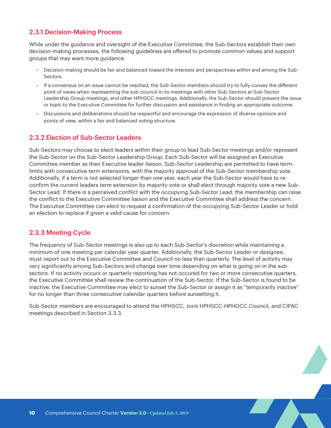## <span id="page-9-0"></span>2.3.1 Decision-Making Process

While under the guidance and oversight of the Executive Committee, the Sub-Sectors establish their own decision-making processes, the following guidelines are offered to promote common values and support groups that may want more guidance.

- Decision-making should be fair and balanced toward the interests and perspectives within and among the Sub-Sectors.
- If a consensus on an issue cannot be reached, the Sub-Sector members should try to fully convey the different point of views when representing the sub-council in its meetings with other Sub-Sectors at Sub-Sector Leadership Group meetings, and other HPHSCC meetings. Additionally, the Sub-Sector should present the issue or topic to the Executive Committee for further discussion and assistance in finding an appropriate outcome.
- Discussions and deliberations should be respectful and encourage the expression of diverse opinions and points of view, within a fair and balanced voting structure.

## 2.3.2 Election of Sub-Sector Leaders

Sub-Sectors may choose to elect leaders within their group to lead Sub-Sector meetings and/or represent the Sub-Sector on the Sub-Sector Leadership Group. Each Sub-Sector will be assigned an Executive Committee member as their Executive leader liaison. Sub-Sector Leadership are permitted to have termlimits with consecutive term extensions, with the majority approval of the Sub-Sector membership vote. Additionally, if a term is not selected longer than one year, each year the Sub-Sector would have to reconfirm the current leaders term extension by majority vote or shall elect through majority vote a new Sub-Sector Lead. If there is a perceived conflict with the occupying Sub-Sector Lead, the membership can raise the conflict to the Executive Committee liaison and the Executive Committee shall address the concern. The Executive Committee can elect to request a confirmation of the occupying Sub-Sector Leader or hold an election to replace if given a valid cause for concern.

### 2.3.3 Meeting Cycle

The frequency of Sub-Sector meetings is also up to each Sub-Sector's discretion while maintaining a minimum of one meeting per calendar year quarter. Additionally, the Sub-Sector Leader or designee, must report out to the Executive Committee and Council no less than quarterly. The level of activity may vary significantly among Sub-Sectors and change over time depending on what is going on in the subsectors. If no activity occurs or quarterly reporting has not occured for two or more consecutive quarters, the Executive Committee shall review the continuation of the Sub-Sector. If the Sub-Sector is found to be inactive, the Executive Committee may elect to sunset the Sub-Sector or assign it as "temporarily inactive" for no longer than three consecutive calendar quarters before sunsetting it.

Sub-Sector members are encouraged to attend the HPHSCC, Joint HPHSCC-HPHGCC Council, and CIPAC meetings described in Section 3.3.3.

**AND**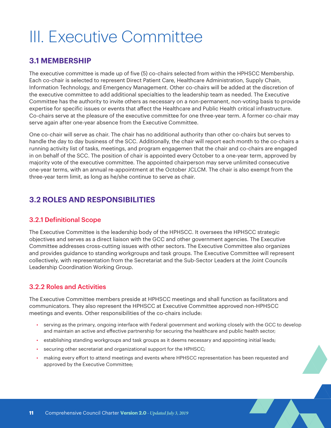# <span id="page-10-0"></span>III. Executive Committee

# **3.1 MEMBERSHIP**

The executive committee is made up of five (5) co-chairs selected from within the HPHSCC Membership. Each co-chair is selected to represent Direct Patient Care, Healthcare Administration, Supply Chain, Information Technology, and Emergency Management. Other co-chairs will be added at the discretion of the executive committee to add additional specialties to the leadership team as needed. The Executive Committee has the authority to invite others as necessary on a non-permanent, non-voting basis to provide expertise for specific issues or events that affect the Healthcare and Public Health critical infrastructure. Co-chairs serve at the pleasure of the executive committee for one three-year term. A former co-chair may serve again after one-year absence from the Executive Committee.

One co-chair will serve as chair. The chair has no additional authority than other co-chairs but serves to handle the day to day business of the SCC. Additionally, the chair will report each month to the co-chairs a running activity list of tasks, meetings, and program engagemen that the chair and co-chairs are engaged in on behalf of the SCC. The position of chair is appointed every October to a one-year term, approved by majority vote of the executive committee. The appointed chairperson may serve unlimited consecutive one-year terms, with an annual re-appointment at the October JCLCM. The chair is also exempt from the three-year term limit, as long as he/she continue to serve as chair.

# **3.2 ROLES AND RESPONSIBILITIES**

### 3.2.1 Definitional Scope

The Executive Committee is the leadership body of the HPHSCC. It oversees the HPHSCC strategic objectives and serves as a direct liaison with the GCC and other government agencies. The Executive Committee addresses cross-cutting issues with other sectors. The Executive Committee also organizes and provides guidance to standing workgroups and task groups. The Executive Committee will represent collectively, with representation from the Secretariat and the Sub-Sector Leaders at the Joint Councils Leadership Coordination Working Group.

# 3.2.2 Roles and Activities

The Executive Committee members preside at HPHSCC meetings and shall function as facilitators and communicators. They also represent the HPHSCC at Executive Committee approved non-HPHSCC meetings and events. Other responsibilities of the co-chairs include:

- serving as the primary, ongoing interface with Federal government and working closely with the GCC to develop and maintain an active and effective partnership for securing the healthcare and public health sector;
- establishing standing workgroups and task groups as it deems necessary and appointing initial leads;
- securing other secretariat and organizational support for the HPHSCC;
- making every effort to attend meetings and events where HPHSCC representation has been requested and approved by the Executive Committee;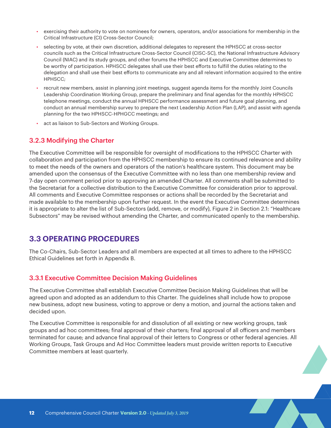- <span id="page-11-0"></span>• exercising their authority to vote on nominees for owners, operators, and/or associations for membership in the Critical Infrastructure (CI) Cross-Sector Council;
- selecting by vote, at their own discretion, additional delegates to represent the HPHSCC at cross-sector councils such as the Critical Infrastructure Cross-Sector Council (CISC-SC), the National Infrastructure Advisory Council (NIAC) and its study groups, and other forums the HPHSCC and Executive Committee determines to be worthy of participation. HPHSCC delegates shall use their best efforts to fulfill the duties relating to the delegation and shall use their best efforts to communicate any and all relevant information acquired to the entire HPHSCC;
- recruit new members, assist in planning joint meetings, suggest agenda items for the monthly Joint Councils Leadership Coordination Working Group, prepare the preliminary and final agendas for the monthly HPHSCC telephone meetings, conduct the annual HPHSCC performance assessment and future goal planning, and conduct an annual membership survey to prepare the next Leadership Action Plan (LAP), and assist with agenda planning for the two HPHSCC-HPHGCC meetings; and
- act as liaison to Sub-Sectors and Working Groups.

### 3.2.3 Modifying the Charter

The Executive Committee will be responsible for oversight of modifications to the HPHSCC Charter with collaboration and participation from the HPHSCC membership to ensure its continued relevance and ability to meet the needs of the owners and operators of the nation's healthcare system. This document may be amended upon the consensus of the Executive Committee with no less than one membership review and 7-day open comment period prior to approving an amended Charter. All comments shall be submitted to the Secretariat for a collective distribution to the Executive Committee for consideration prior to approval. All comments and Executive Committee responses or actions shall be recorded by the Secretariat and made available to the membership upon further request. In the event the Executive Committee determines it is appropriate to alter the list of Sub-Sectors (add, remove, or modify), Figure 2 in Section 2.1: "Healthcare Subsectors" may be revised without amending the Charter, and communicated openly to the membership.

# **3.3 OPERATING PROCEDURES**

The Co-Chairs, Sub-Sector Leaders and all members are expected at all times to adhere to the HPHSCC Ethical Guidelines set forth in Appendix B.

#### 3.3.1 Executive Committee Decision Making Guidelines

The Executive Committee shall establish Executive Committee Decision Making Guidelines that will be agreed upon and adopted as an addendum to this Charter. The guidelines shall include how to propose new business, adopt new business, voting to approve or deny a motion, and journal the actions taken and decided upon.

The Executive Committee is responsible for and dissolution of all existing or new working groups, task groups and ad hoc committees; final approval of their charters; final approval of all officers and members terminated for cause; and advance final approval of their letters to Congress or other federal agencies. All Working Groups, Task Groups and Ad Hoc Committee leaders must provide written reports to Executive Committee members at least quarterly.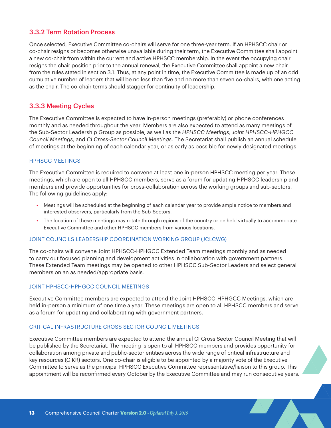### <span id="page-12-0"></span>3.3.2 Term Rotation Process

Once selected, Executive Committee co-chairs will serve for one three-year term. If an HPHSCC chair or co-chair resigns or becomes otherwise unavailable during their term, the Executive Committee shall appoint a new co-chair from within the current and active HPHSCC membership. In the event the occupying chair resigns the chair position prior to the annual renewal, the Executive Committee shall appoint a new chair from the rules stated in section 3.1. Thus, at any point in time, the Executive Committee is made up of an odd cumulative number of leaders that will be no less than five and no more than seven co-chairs, with one acting as the chair. The co-chair terms should stagger for continuity of leadership.

## 3.3.3 Meeting Cycles

The Executive Committee is expected to have in-person meetings (preferably) or phone conferences monthly and as needed throughout the year. Members are also expected to attend as many meetings of the Sub-Sector Leadership Group as possible, as well as the *HPHSCC Meetings, Joint HPHSCC-HPHGCC Council Meetings*, and *CI Cross-Sector Council Meetings*. The Secretariat shall publish an annual schedule of meetings at the beginning of each calendar year, or as early as possible for newly designated meetings.

#### HPHSCC MEETINGS

The Executive Committee is required to convene at least one in-person HPHSCC meeting per year. These meetings, which are open to all HPHSCC members, serve as a forum for updating HPHSCC leadership and members and provide opportunities for cross-collaboration across the working groups and sub-sectors. The following guidelines apply:

- Meetings will be scheduled at the beginning of each calendar year to provide ample notice to members and interested observers, particularly from the Sub-Sectors.
- The location of these meetings may rotate through regions of the country or be held virtually to accommodate Executive Committee and other HPHSCC members from various locations.

#### JOINT COUNCILS LEADERSHIP COORDINATION WORKING GROUP (JCLCWG)

The co-chairs will convene Joint HPHSCC-HPHGCC Extended Team meetings monthly and as needed to carry out focused planning and development activities in collaboration with government partners. These Extended Team meetings may be opened to other HPHSCC Sub-Sector Leaders and select general members on an as needed/appropriate basis.

#### JOINT HPHSCC-HPHGCC COUNCIL MEETINGS

Executive Committee members are expected to attend the Joint HPHSCC-HPHGCC Meetings, which are held in-person a minimum of one time a year. These meetings are open to all HPHSCC members and serve as a forum for updating and collaborating with government partners.

#### CRITICAL INFRASTRUCTURE CROSS SECTOR COUNCIL MEETINGS

Executive Committee members are expected to attend the annual CI Cross Sector Council Meeting that will be published by the Secretariat. The meeting is open to all HPHSCC members and provides opportunity for collaboration among private and public-sector entities across the wide range of critical infrastructure and key resources (CIKR) sectors. One co-chair is eligible to be appointed by a majority vote of the Executive Committee to serve as the principal HPHSCC Executive Committee representative/liaison to this group. This appointment will be reconfirmed every October by the Executive Committee and may run consecutive years.

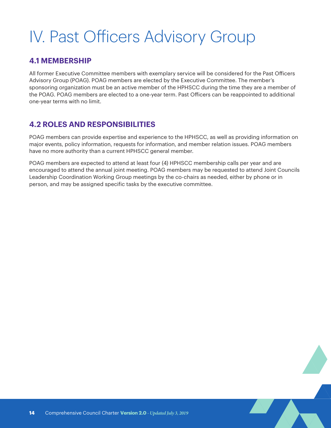# <span id="page-13-0"></span>IV. Past Officers Advisory Group

# **4.1 MEMBERSHIP**

All former Executive Committee members with exemplary service will be considered for the Past Officers Advisory Group (POAG). POAG members are elected by the Executive Committee. The member's sponsoring organization must be an active member of the HPHSCC during the time they are a member of the POAG. POAG members are elected to a one-year term. Past Officers can be reappointed to additional one-year terms with no limit.

# **4.2 ROLES AND RESPONSIBILITIES**

POAG members can provide expertise and experience to the HPHSCC, as well as providing information on major events, policy information, requests for information, and member relation issues. POAG members have no more authority than a current HPHSCC general member.

POAG members are expected to attend at least four (4) HPHSCC membership calls per year and are encouraged to attend the annual joint meeting. POAG members may be requested to attend Joint Councils Leadership Coordination Working Group meetings by the co-chairs as needed, either by phone or in person, and may be assigned specific tasks by the executive committee.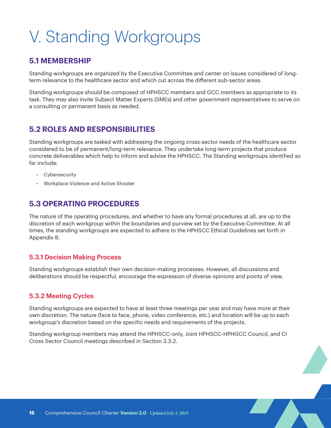# <span id="page-14-0"></span>V. Standing Workgroups

# **5.1 MEMBERSHIP**

Standing workgroups are organized by the Executive Committee and center on issues considered of longterm relevance to the healthcare sector and which cut across the different sub-sector areas.

Standing workgroups should be composed of HPHSCC members and GCC members as appropriate to its task. They may also invite Subject Matter Experts (SMEs) and other government representatives to serve on a consulting or permanent basis as needed.

# **5.2 ROLES AND RESPONSIBILITIES**

Standing workgroups are tasked with addressing the ongoing cross-sector needs of the healthcare sector considered to be of permanent/long-term relevance. They undertake long-term projects that produce concrete deliverables which help to inform and advise the HPHSCC. The Standing workgroups identified so far include:

- Cybersecurity
- Workplace Violence and Active Shooter

# **5.3 OPERATING PROCEDURES**

The nature of the operating procedures, and whether to have any formal procedures at all, are up to the discretion of each workgroup within the boundaries and purview set by the Executive Committee. At all times, the standing workgroups are expected to adhere to the HPHSCC Ethical Guidelines set forth in Appendix B.

# 5.3.1 Decision Making Process

Standing workgroups establish their own decision-making processes. However, all discussions and deliberations should be respectful, encourage the expression of diverse opinions and points of view.

# 5.3.2 Meeting Cycles

Standing workgroups are expected to have at least three meetings per year and may have more at their own discretion. The nature (face to face, phone, video conference, etc.) and location will be up to each workgroup's discretion based on the specific needs and requirements of the projects.

Standing workgroup members may attend the HPHSCC-only, Joint HPHSCC-HPHGCC Council, and CI Cross Sector Council meetings described in Section 3.3.2.

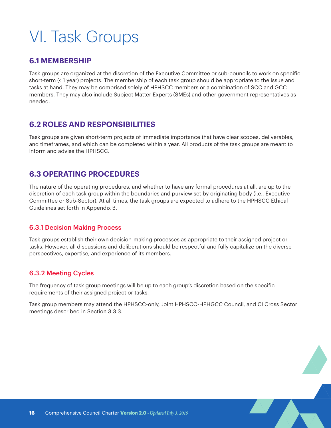# <span id="page-15-0"></span>VI. Task Groups

# **6.1 MEMBERSHIP**

Task groups are organized at the discretion of the Executive Committee or sub-councils to work on specific short-term (< 1 year) projects. The membership of each task group should be appropriate to the issue and tasks at hand. They may be comprised solely of HPHSCC members or a combination of SCC and GCC members. They may also include Subject Matter Experts (SMEs) and other government representatives as needed.

# **6.2 ROLES AND RESPONSIBILITIES**

Task groups are given short-term projects of immediate importance that have clear scopes, deliverables, and timeframes, and which can be completed within a year. All products of the task groups are meant to inform and advise the HPHSCC.

# **6.3 OPERATING PROCEDURES**

The nature of the operating procedures, and whether to have any formal procedures at all, are up to the discretion of each task group within the boundaries and purview set by originating body (i.e., Executive Committee or Sub-Sector). At all times, the task groups are expected to adhere to the HPHSCC Ethical Guidelines set forth in Appendix B.

# 6.3.1 Decision Making Process

Task groups establish their own decision-making processes as appropriate to their assigned project or tasks. However, all discussions and deliberations should be respectful and fully capitalize on the diverse perspectives, expertise, and experience of its members.

# 6.3.2 Meeting Cycles

The frequency of task group meetings will be up to each group's discretion based on the specific requirements of their assigned project or tasks.

Task group members may attend the HPHSCC-only, Joint HPHSCC-HPHGCC Council, and CI Cross Sector meetings described in Section 3.3.3.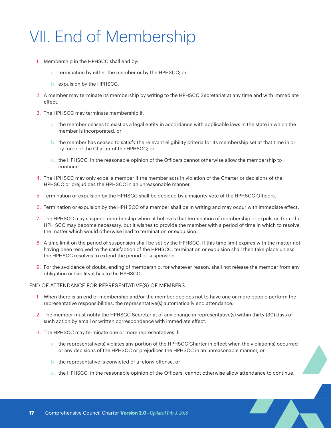# <span id="page-16-0"></span>VII. End of Membership

- 1. Membership in the HPHSCC shall end by:
	- a. termination by either the member or by the HPHSCC; or
	- b. expulsion by the HPHSCC.
- 2. A member may terminate its membership by writing to the HPHSCC Secretariat at any time and with immediate effect.
- 3. The HPHSCC may terminate membership if:
	- a. the member ceases to exist as a legal entity in accordance with applicable laws in the state in which the member is incorporated; or
	- b. the member has ceased to satisfy the relevant eligibility criteria for its membership set at that time in or by force of the Charter of the HPHSCC; or
	- c. the HPHSCC, in the reasonable opinion of the Officers cannot otherwise allow the membership to continue.
- 4. The HPHSCC may only expel a member if the member acts in violation of the Charter or decisions of the HPHSCC or prejudices the HPHSCC in an unreasonable manner.
- 5. Termination or expulsion by the HPHSCC shall be decided by a majority vote of the HPHSCC Officers.
- 6. Termination or expulsion by the HPH SCC of a member shall be in writing and may occur with immediate effect.
- 7. The HPHSCC may suspend membership where it believes that termination of membership or expulsion from the HPH SCC may become necessary, but it wishes to provide the member with a period of time in which to resolve the matter which would otherwise lead to termination or expulsion.
- 8. A time limit on the period of suspension shall be set by the HPHSCC. If this time limit expires with the matter not having been resolved to the satisfaction of the HPHSCC, termination or expulsion shall then take place unless the HPHSCC resolves to extend the period of suspension.
- 9. For the avoidance of doubt, ending of membership, for whatever reason, shall not release the member from any obligation or liability it has to the HPHSCC.

#### END OF ATTENDANCE FOR REPRESENTATIVE(S) OF MEMBERS

- 1. When there is an end of membership and/or the member decides not to have one or more people perform the representative responsibilities, the representative(s) automatically end attendance.
- 2. The member must notify the HPHSCC Secretariat of any change in representative(s) within thirty (30) days of such action by email or written correspondence with immediate effect.
- 3. The HPHSCC may terminate one or more representatives if:
	- a. the representative(s) violates any portion of the HPHSCC Charter in effect when the violation(s) occurred or any decisions of the HPHSCC or prejudices the HPHSCC in an unreasonable manner; or
	- b. the representative is convicted of a felony offense, or
	- c. the HPHSCC, in the reasonable opinion of the Officers, cannot otherwise allow attendance to continue.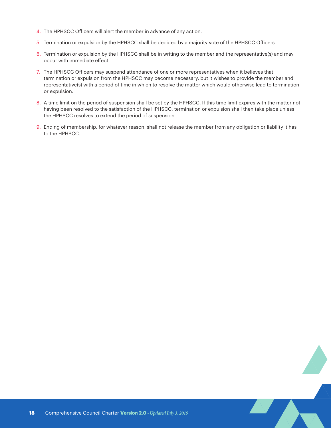- 4. The HPHSCC Officers will alert the member in advance of any action.
- 5. Termination or expulsion by the HPHSCC shall be decided by a majority vote of the HPHSCC Officers.
- 6. Termination or expulsion by the HPHSCC shall be in writing to the member and the representative(s) and may occur with immediate effect.
- 7. The HPHSCC Officers may suspend attendance of one or more representatives when it believes that termination or expulsion from the HPHSCC may become necessary, but it wishes to provide the member and representative(s) with a period of time in which to resolve the matter which would otherwise lead to termination or expulsion.
- 8. A time limit on the period of suspension shall be set by the HPHSCC. If this time limit expires with the matter not having been resolved to the satisfaction of the HPHSCC, termination or expulsion shall then take place unless the HPHSCC resolves to extend the period of suspension.
- 9. Ending of membership, for whatever reason, shall not release the member from any obligation or liability it has to the HPHSCC.

**AND**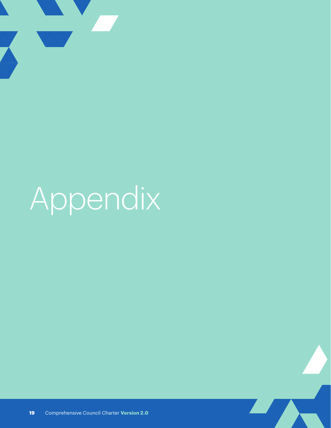<span id="page-18-0"></span>

# Appendix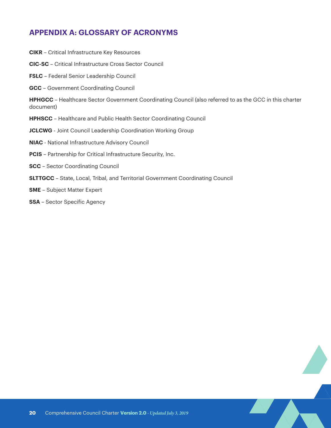# <span id="page-19-0"></span>**APPENDIX A: GLOSSARY OF ACRONYMS**

**CIKR** – Critical Infrastructure Key Resources **CIC-SC** – Critical Infrastructure Cross Sector Council **FSLC** – Federal Senior Leadership Council **GCC** – Government Coordinating Council **HPHGCC** – Healthcare Sector Government Coordinating Council (also referred to as the GCC in this charter document) **HPHSCC** – Healthcare and Public Health Sector Coordinating Council **JCLCWG** - Joint Council Leadership Coordination Working Group **NIAC** - National Infrastructure Advisory Council **PCIS** – Partnership for Critical Infrastructure Security, Inc. **SCC** – Sector Coordinating Council **SLTTGCC** – State, Local, Tribal, and Territorial Government Coordinating Council **SME** – Subject Matter Expert **SSA** – Sector Specific Agency

AV.

A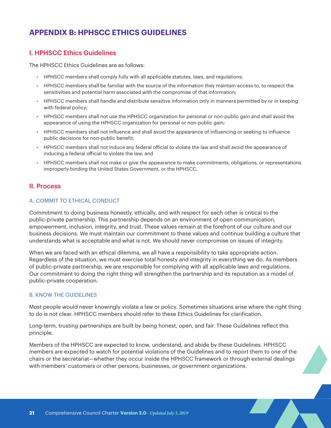# <span id="page-20-0"></span>**APPENDIX B: HPHSCC ETHICS GUIDELINES**

## I. HPHSCC Ethics Guidelines

The HPHSCC Ethics Guidelines are as follows:

- HPHSCC members shall comply fully with all applicable statutes, laws, and regulations;
- HPHSCC members shall be familiar with the source of the information they maintain access to, to respect the sensitivities and potential harm associated with the compromise of that information;
- HPHSCC members shall handle and distribute sensitive information only in manners permitted by or in keeping with federal policy;
- HPHSCC members shall not use the HPHSCC organization for personal or non-public gain and shall avoid the appearance of using the HPHSCC organization for personal or non-public gain;
- HPHSCC members shall not influence and shall avoid the appearance of influencing or seeking to influence public decisions for non-public benefit;
- HPHSCC members shall not induce any federal official to violate the law and shall avoid the appearance of inducing a federal official to violate the law; and
- HPHSCC members shall not make or give the appearance to make commitments, obligations, or representations improperly binding the United States Government, or the HPHSCC.

#### II. Process

#### A. COMMIT TO ETHICAL CONDUCT

Commitment to doing business honestly, ethically, and with respect for each other is critical to the public-private partnership. This partnership depends on an environment of open communication, empowerment, inclusion, integrity, and trust. These values remain at the forefront of our culture and our business decisions. We must maintain our commitment to these values and continue building a culture that understands what is acceptable and what is not. We should never compromise on issues of integrity.

When we are faced with an ethical dilemma, we all have a responsibility to take appropriate action. Regardless of the situation, we must exercise total honesty and integrity in everything we do. As members of public-private partnership, we are responsible for complying with all applicable laws and regulations. Our commitment to doing the right thing will strengthen the partnership and its reputation as a model of public-private cooperation.

#### B. KNOW THE GUIDELINES

Most people would never knowingly violate a law or policy. Sometimes situations arise where the right thing to do is not clear. HPHSCC members should refer to these Ethics Guidelines for clarification.

Long-term, trusting partnerships are built by being honest, open, and fair. These Guidelines reflect this principle.

Members of the HPHSCC are expected to know, understand, and abide by these Guidelines. HPHSCC members are expected to watch for potential violations of the Guidelines and to report them to one of the chairs or the secretariat—whether they occur inside the HPHSCC framework or through external dealings with members' customers or other persons, businesses, or government organizations.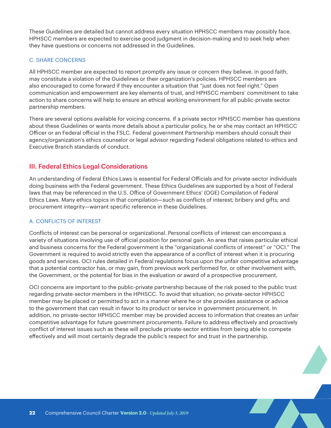<span id="page-21-0"></span>These Guidelines are detailed but cannot address every situation HPHSCC members may possibly face. HPHSCC members are expected to exercise good judgment in decision-making and to seek help when they have questions or concerns not addressed in the Guidelines.

#### C. SHARE CONCERNS

All HPHSCC member are expected to report promptly any issue or concern they believe, in good faith, may constitute a violation of the Guidelines or their organization's policies. HPHSCC members are also encouraged to come forward if they encounter a situation that "just does not feel right." Open communication and empowerment are key elements of trust, and HPHSCC members' commitment to take action to share concerns will help to ensure an ethical working environment for all public-private sector partnership members.

There are several options available for voicing concerns. If a private sector HPHSCC member has questions about these Guidelines or wants more details about a particular policy, he or she may contact an HPHSCC Officer or an Federal official in the FSLC. Federal government Partnership members should consult their agency/organization's ethics counselor or legal advisor regarding Federal obligations related to ethics and Executive Branch standards of conduct.

#### III. Federal Ethics Legal Considerations

An understanding of Federal Ethics Laws is essential for Federal Officials and for private-sector individuals doing business with the Federal government. These Ethics Guidelines are supported by a host of Federal laws that may be referenced in the U.S. Office of Government Ethics' (OGE) Compilation of Federal Ethics Laws. Many ethics topics in that compilation—such as conflicts of interest; bribery and gifts; and procurement integrity—warrant specific reference in these Guidelines.

#### A. CONFLICTS OF INTEREST

Conflicts of interest can be personal or organizational. Personal conflicts of interest can encompass a variety of situations involving use of official position for personal gain. An area that raises particular ethical and business concerns for the Federal government is the "organizational conflicts of interest" or "OCI." The Government is required to avoid strictly even the appearance of a conflict of interest when it is procuring goods and services. OCI rules detailed in Federal regulations focus upon the unfair competitive advantage that a potential contractor has, or may gain, from previous work performed for, or other involvement with, the Government, or the potential for bias in the evaluation or award of a prospective procurement.

OCI concerns are important to the public-private partnership because of the risk posed to the public trust regarding private-sector members in the HPHSCC. To avoid that situation, no private-sector HPHSCC member may be placed or permitted to act in a manner where he or she provides assistance or advice to the government that can result in favor to its product or service in government procurement. In addition, no private-sector HPHSCC member may be provided access to information that creates an unfair competitive advantage for future government procurements. Failure to address effectively and proactively conflict of interest issues such as these will preclude private-sector entities from being able to compete effectively and will most certainly degrade the public's respect for and trust in the partnership.

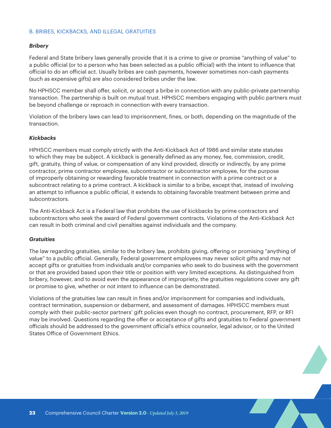#### B. BRIBES, KICKBACKS, AND ILLEGAL GRATUITIES

#### *Bribery*

Federal and State bribery laws generally provide that it is a crime to give or promise "anything of value" to a public official (or to a person who has been selected as a public official) with the intent to influence that official to do an official act. Usually bribes are cash payments, however sometimes non-cash payments (such as expensive gifts) are also considered bribes under the law.

No HPHSCC member shall offer, solicit, or accept a bribe in connection with any public-private partnership transaction. The partnership is built on mutual trust. HPHSCC members engaging with public partners must be beyond challenge or reproach in connection with every transaction.

Violation of the bribery laws can lead to imprisonment, fines, or both, depending on the magnitude of the transaction.

#### *Kickbacks*

HPHSCC members must comply strictly with the Anti-Kickback Act of 1986 and similar state statutes to which they may be subject. A kickback is generally defined as any money, fee, commission, credit, gift, gratuity, thing of value, or compensation of any kind provided, directly or indirectly, by any prime contractor, prime contractor employee, subcontractor or subcontractor employee, for the purpose of improperly obtaining or rewarding favorable treatment in connection with a prime contract or a subcontract relating to a prime contract. A kickback is similar to a bribe, except that, instead of involving an attempt to influence a public official, it extends to obtaining favorable treatment between prime and subcontractors.

The Anti-Kickback Act is a Federal law that prohibits the use of kickbacks by prime contractors and subcontractors who seek the award of Federal government contracts. Violations of the Anti-Kickback Act can result in both criminal and civil penalties against individuals and the company.

#### *Gratuities*

The law regarding gratuities, similar to the bribery law, prohibits giving, offering or promising "anything of value" to a public official. Generally, Federal government employees may never solicit gifts and may not accept gifts or gratuities from individuals and/or companies who seek to do business with the government or that are provided based upon their title or position with very limited exceptions. As distinguished from bribery, however, and to avoid even the appearance of impropriety, the gratuities regulations cover any gift or promise to give, whether or not intent to influence can be demonstrated.

Violations of the gratuities law can result in fines and/or imprisonment for companies and individuals, contract termination, suspension or debarment, and assessment of damages. HPHSCC members must comply with their public-sector partners' gift policies even though no contract, procurement, RFP, or RFI may be involved. Questions regarding the offer or acceptance of gifts and gratuities to Federal government officials should be addressed to the government official's ethics counselor, legal advisor, or to the United States Office of Government Ethics.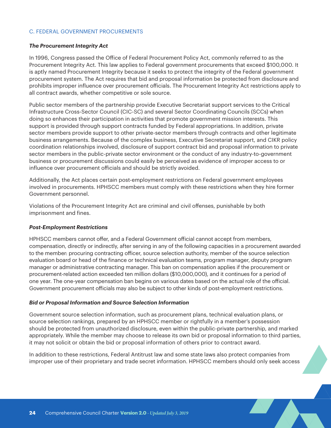#### C. FEDERAL GOVERNMENT PROCUREMENTS

#### *The Procurement Integrity Act*

In 1996, Congress passed the Office of Federal Procurement Policy Act, commonly referred to as the Procurement Integrity Act. This law applies to Federal government procurements that exceed \$100,000. It is aptly named Procurement Integrity because it seeks to protect the integrity of the Federal government procurement system. The Act requires that bid and proposal information be protected from disclosure and prohibits improper influence over procurement officials. The Procurement Integrity Act restrictions apply to all contract awards, whether competitive or sole source.

Public sector members of the partnership provide Executive Secretariat support services to the Critical Infrastructure Cross-Sector Council (CIC-SC) and several Sector Coordinating Councils (SCCs) when doing so enhances their participation in activities that promote government mission interests. This support is provided through support contracts funded by Federal appropriations. In addition, private sector members provide support to other private-sector members through contracts and other legitimate business arrangements. Because of the complex business, Executive Secretariat support, and CIKR policy coordination relationships involved, disclosure of support contract bid and proposal information to private sector members in the public-private sector environment or the conduct of any industry-to-government business or procurement discussions could easily be perceived as evidence of improper access to or influence over procurement officials and should be strictly avoided.

Additionally, the Act places certain post-employment restrictions on Federal government employees involved in procurements. HPHSCC members must comply with these restrictions when they hire former Government personnel.

Violations of the Procurement Integrity Act are criminal and civil offenses, punishable by both imprisonment and fines.

#### *Post-Employment Restrictions*

HPHSCC members cannot offer, and a Federal Government official cannot accept from members, compensation, directly or indirectly, after serving in any of the following capacities in a procurement awarded to the member: procuring contracting officer, source selection authority, member of the source selection evaluation board or head of the finance or technical evaluation teams, program manager, deputy program manager or administrative contracting manager. This ban on compensation applies if the procurement or procurement-related action exceeded ten million dollars (\$10,000,000), and it continues for a period of one year. The one-year compensation ban begins on various dates based on the actual role of the official. Government procurement officials may also be subject to other kinds of post-employment restrictions.

#### *Bid or Proposal Information and Source Selection Information*

Government source selection information, such as procurement plans, technical evaluation plans, or source selection rankings, prepared by an HPHSCC member or rightfully in a member's possession should be protected from unauthorized disclosure, even within the public-private partnership, and marked appropriately. While the member may choose to release its own bid or proposal information to third parties, it may not solicit or obtain the bid or proposal information of others prior to contract award.

In addition to these restrictions, Federal Antitrust law and some state laws also protect companies from improper use of their proprietary and trade secret information. HPHSCC members should only seek access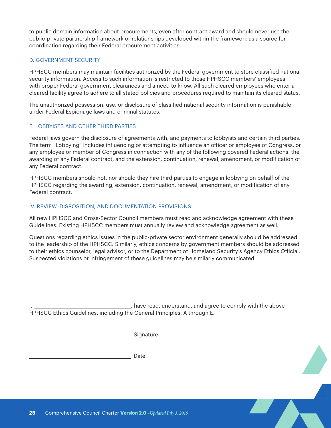to public domain information about procurements, even after contract award and should never use the public-private partnership framework or relationships developed within the framework as a source for coordination regarding their Federal procurement activities.

#### D. GOVERNMENT SECURITY

HPHSCC members may maintain facilities authorized by the Federal government to store classified national security information. Access to such information is restricted to those HPHSCC members' employees with proper Federal government clearances and a need to know. All such cleared employees who enter a cleared facility agree to adhere to all stated policies and procedures required to maintain its cleared status.

The unauthorized possession, use, or disclosure of classified national security information is punishable under Federal Espionage laws and criminal statutes.

#### E. LOBBYISTS AND OTHER THIRD PARTIES

Federal laws govern the disclosure of agreements with, and payments to lobbyists and certain third parties. The term "Lobbying" includes influencing or attempting to influence an officer or employee of Congress, or any employee or member of Congress in connection with any of the following covered Federal actions: the awarding of any Federal contract, and the extension, continuation, renewal, amendment, or modification of any Federal contract.

HPHSCC members should not, nor should they hire third parties to engage in lobbying on behalf of the HPHSCC regarding the awarding, extension, continuation, renewal, amendment, or modification of any Federal contract.

#### IV. REVIEW, DISPOSITION, AND DOCUMENTATION PROVISIONS

All new HPHSCC and Cross-Sector Council members must read and acknowledge agreement with these Guidelines. Existing HPHSCC members must annually review and acknowledge agreement as well.

Questions regarding ethics issues in the public-private sector environment generally should be addressed to the leadership of the HPHSCC. Similarly, ethics concerns by government members should be addressed to their ethics counselor, legal advisor, or to the Department of Homeland Security's Agency Ethics Official. Suspected violations or infringement of these guidelines may be similarly communicated.

I, 1. 1. **have read, understand, and agree to comply with the above** HPHSCC Ethics Guidelines, including the General Principles, A through E.

**AND** 

Signature

Date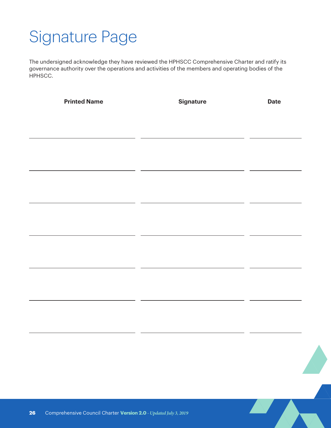# <span id="page-25-0"></span>Signature Page

The undersigned acknowledge they have reviewed the HPHSCC Comprehensive Charter and ratify its governance authority over the operations and activities of the members and operating bodies of the HPHSCC.

|    | <b>Printed Name</b>                                              | <b>Signature</b> | <b>Date</b> |
|----|------------------------------------------------------------------|------------------|-------------|
|    |                                                                  |                  |             |
|    |                                                                  |                  |             |
|    |                                                                  |                  |             |
|    |                                                                  |                  |             |
|    |                                                                  |                  |             |
|    |                                                                  |                  |             |
|    |                                                                  |                  |             |
|    |                                                                  |                  |             |
|    |                                                                  |                  |             |
|    |                                                                  |                  |             |
|    |                                                                  |                  |             |
|    |                                                                  |                  |             |
|    |                                                                  |                  | A Au        |
| 26 | Comprehensive Council Charter Version 2.0 - Updated July 3, 2019 |                  |             |